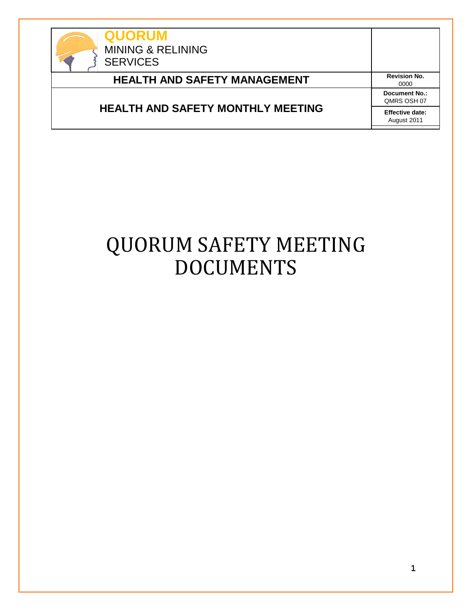

**QUORUM** MINING & RELINING **SERVICES HEALTH AND SAFETY MANAGEMENT** Revision No. 0000 **HEALTH AND SAFETY MONTHLY MEETING Document No.:** QMRS OSH 07 **Effective date:** August 2011

# QUORUM SAFETY MEETING DOCUMENTS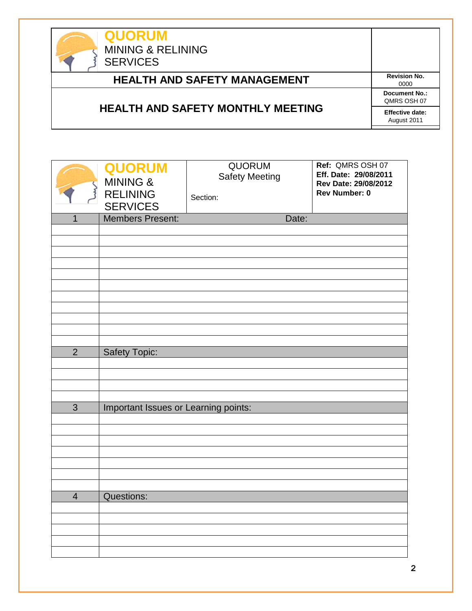| <b>QUORUM</b><br><b>MINING &amp; RELINING</b><br><b>SERVICES</b> |                                       |
|------------------------------------------------------------------|---------------------------------------|
| <b>HEALTH AND SAFETY MANAGEMENT</b>                              | <b>Revision No.</b><br>0000           |
|                                                                  | <b>Document No.:</b><br>OMRS OSH 07   |
| <b>HEALTH AND SAFETY MONTHLY MEETING</b>                         | <b>Effective date:</b><br>August 2011 |

|                         | <b>QUORUM</b><br><b>MINING &amp;</b><br>RELINING<br>SERVICES | QUORUM<br><b>Safety Meeting</b><br>Section: | Ref: QMRS OSH 07<br>Eff. Date: 29/08/2011<br>Rev Date: 29/08/2012<br><b>Rev Number: 0</b> |
|-------------------------|--------------------------------------------------------------|---------------------------------------------|-------------------------------------------------------------------------------------------|
| $\overline{1}$          | <b>Members Present:</b>                                      | Date:                                       |                                                                                           |
|                         |                                                              |                                             |                                                                                           |
|                         |                                                              |                                             |                                                                                           |
|                         |                                                              |                                             |                                                                                           |
|                         |                                                              |                                             |                                                                                           |
|                         |                                                              |                                             |                                                                                           |
|                         |                                                              |                                             |                                                                                           |
|                         |                                                              |                                             |                                                                                           |
|                         |                                                              |                                             |                                                                                           |
|                         |                                                              |                                             |                                                                                           |
| $\overline{2}$          | Safety Topic:                                                |                                             |                                                                                           |
|                         |                                                              |                                             |                                                                                           |
|                         |                                                              |                                             |                                                                                           |
|                         |                                                              |                                             |                                                                                           |
| $\overline{3}$          | Important Issues or Learning points:                         |                                             |                                                                                           |
|                         |                                                              |                                             |                                                                                           |
|                         |                                                              |                                             |                                                                                           |
|                         |                                                              |                                             |                                                                                           |
|                         |                                                              |                                             |                                                                                           |
|                         |                                                              |                                             |                                                                                           |
|                         |                                                              |                                             |                                                                                           |
| $\overline{\mathbf{4}}$ | Questions:                                                   |                                             |                                                                                           |
|                         |                                                              |                                             |                                                                                           |
|                         |                                                              |                                             |                                                                                           |
|                         |                                                              |                                             |                                                                                           |
|                         |                                                              |                                             |                                                                                           |
|                         |                                                              |                                             |                                                                                           |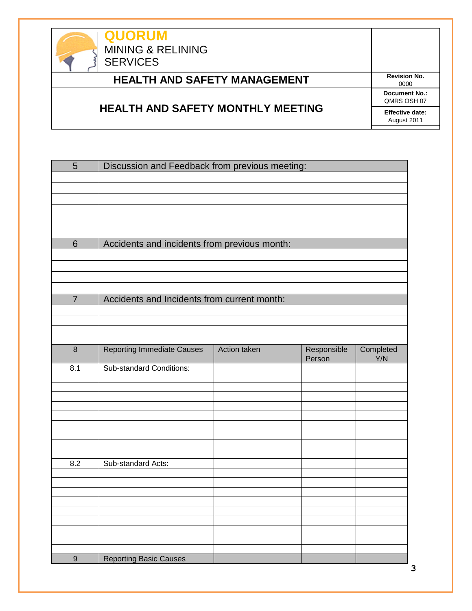

## **HEALTH AND SAFETY MANAGEMENT** Revision No.

#### **HEALTH AND SAFETY MONTHLY MEETING**

0000 **Document No.:** QMRS OSH 07 **Effective date:** August 2011

| 5                | Discussion and Feedback from previous meeting: |              |                       |                  |
|------------------|------------------------------------------------|--------------|-----------------------|------------------|
|                  |                                                |              |                       |                  |
|                  |                                                |              |                       |                  |
|                  |                                                |              |                       |                  |
| $6\phantom{1}$   | Accidents and incidents from previous month:   |              |                       |                  |
|                  |                                                |              |                       |                  |
|                  |                                                |              |                       |                  |
| $\overline{7}$   | Accidents and Incidents from current month:    |              |                       |                  |
|                  |                                                |              |                       |                  |
|                  |                                                |              |                       |                  |
| $\boldsymbol{8}$ | <b>Reporting Immediate Causes</b>              | Action taken | Responsible<br>Person | Completed<br>Y/N |
| 8.1              | <b>Sub-standard Conditions:</b>                |              |                       |                  |
|                  |                                                |              |                       |                  |
|                  |                                                |              |                       |                  |
|                  |                                                |              |                       |                  |
|                  |                                                |              |                       |                  |
| 8.2              | Sub-standard Acts:                             |              |                       |                  |
|                  |                                                |              |                       |                  |
|                  |                                                |              |                       |                  |
|                  |                                                |              |                       |                  |
|                  |                                                |              |                       |                  |
|                  |                                                |              |                       |                  |
| $9$              | <b>Reporting Basic Causes</b>                  |              |                       |                  |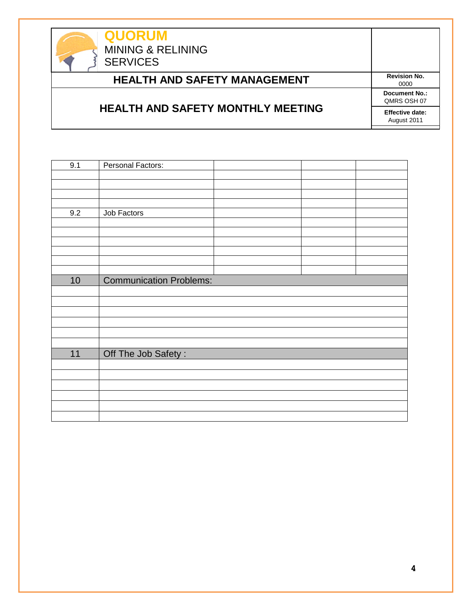

### **HEALTH AND SAFETY MANAGEMENT** Revision No.

#### **HEALTH AND SAFETY MONTHLY MEETING**

0000 **Document No.:** QMRS OSH 07 **Effective date:** August 2011

| 9.1             | Personal Factors:              |
|-----------------|--------------------------------|
|                 |                                |
|                 |                                |
|                 |                                |
|                 |                                |
| 9.2             | Job Factors                    |
|                 |                                |
|                 |                                |
|                 |                                |
|                 |                                |
|                 |                                |
|                 |                                |
| 10 <sub>1</sub> | <b>Communication Problems:</b> |
|                 |                                |
|                 |                                |
|                 |                                |
|                 |                                |
|                 |                                |
|                 |                                |
| 11              | Off The Job Safety:            |
|                 |                                |
|                 |                                |
|                 |                                |
|                 |                                |
|                 |                                |
|                 |                                |
|                 |                                |